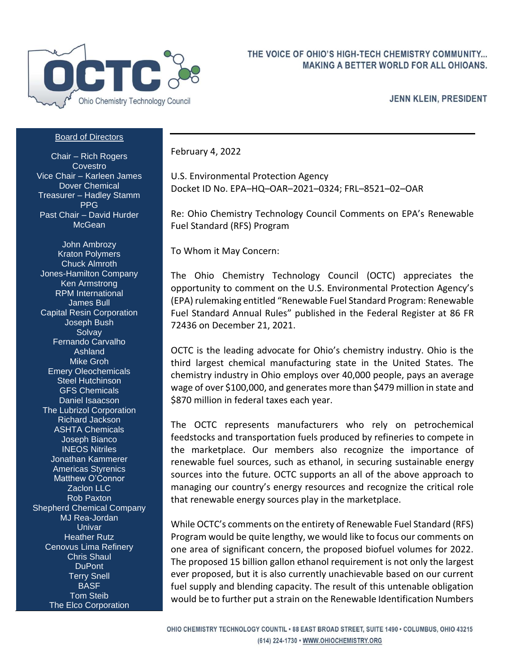

## THE VOICE OF OHIO'S HIGH-TECH CHEMISTRY COMMUNITY... **MAKING A BETTER WORLD FOR ALL OHIOANS.**

**JENN KLEIN, PRESIDENT** 

## Board of Directors

Chair – Rich Rogers **Covestro** Vice Chair – Karleen James Dover Chemical Treasurer – Hadley Stamm PPG Past Chair – David Hurder **McGean** 

John Ambrozy Kraton Polymers Chuck Almroth Jones-Hamilton Company Ken Armstrong RPM International James Bull Capital Resin Corporation Joseph Bush **Solvay** Fernando Carvalho Ashland Mike Groh Emery Oleochemicals Steel Hutchinson GFS Chemicals Daniel Isaacson The Lubrizol Corporation Richard Jackson ASHTA Chemicals Joseph Bianco INEOS Nitriles Jonathan Kammerer Americas Styrenics Matthew O'Connor Zaclon LLC Rob Paxton Shepherd Chemical Company MJ Rea-Jordan Univar Heather Rutz Cenovus Lima Refinery Chris Shaul DuPont Terry Snell BASF Tom Steib The Elco Corporation

February 4, 2022

U.S. Environmental Protection Agency Docket ID No. EPA–HQ–OAR–2021–0324; FRL–8521–02–OAR

Re: Ohio Chemistry Technology Council Comments on EPA's Renewable Fuel Standard (RFS) Program

To Whom it May Concern:

The Ohio Chemistry Technology Council (OCTC) appreciates the opportunity to comment on the U.S. Environmental Protection Agency's (EPA) rulemaking entitled "Renewable Fuel Standard Program: Renewable Fuel Standard Annual Rules" published in the Federal Register at 86 FR 72436 on December 21, 2021.

OCTC is the leading advocate for Ohio's chemistry industry. Ohio is the third largest chemical manufacturing state in the United States. The chemistry industry in Ohio employs over 40,000 people, pays an average wage of over \$100,000, and generates more than \$479 million in state and \$870 million in federal taxes each year.

The OCTC represents manufacturers who rely on petrochemical feedstocks and transportation fuels produced by refineries to compete in the marketplace. Our members also recognize the importance of renewable fuel sources, such as ethanol, in securing sustainable energy sources into the future. OCTC supports an all of the above approach to managing our country's energy resources and recognize the critical role that renewable energy sources play in the marketplace.

While OCTC's comments on the entirety of Renewable Fuel Standard (RFS) Program would be quite lengthy, we would like to focus our comments on one area of significant concern, the proposed biofuel volumes for 2022. The proposed 15 billion gallon ethanol requirement is not only the largest ever proposed, but it is also currently unachievable based on our current fuel supply and blending capacity. The result of this untenable obligation would be to further put a strain on the Renewable Identification Numbers